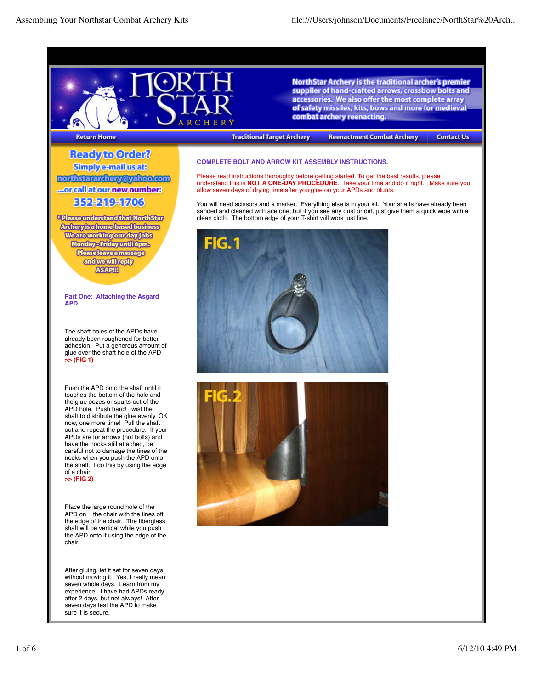

**NorthStar Archery is the traditional archer's premier** supplier of hand-crafted arrows, crossbow bolts and accessories. We also offer the most complete array of safety missiles, kits, bows and more for medieval combat archery reenacting.

## **Return Home**

Ready to Order? **Simplye-mail usats** northstararchery@yahoo.com ...orcallatournew number: 352219-1703

<sup>®</sup> Please understand that North Star **Archery is a home-based business** We are working our day jobs Monday - Friday until 6pm. Please leave a message and we will reply **ASAPIII** 

**Part One: Attaching the Asgard APD.**

The shaft holes of the APDs have already been roughened for better adhesion. Put a generous amount of glue over the shaft hole of the APD **>> (FIG 1)**

Push the APD onto the shaft until it touches the bottom of the hole and the glue oozes or spurts out of the APD hole. Push hard! Twist the shaft to distribute the glue evenly. OK now, one more time! Pull the shaft out and repeat the procedure. If your APDs are for arrows (not bolts) and have the nocks still attached, be careful not to damage the tines of the nocks when you push the APD onto the shaft. I do this by using the edge of a chair. **>> (FIG 2)**

Place the large round hole of the APD on the chair with the tines off the edge of the chair. The fiberglass shaft will be vertical while you push the APD onto it using the edge of the chair.

After gluing, let it set for seven days without moving it. Yes, I really mean seven whole days. Learn from my experience. I have had APDs ready after 2 days, but not always! After seven days test the APD to make sure it is secure.

# **Traditional Target Archery**

**Reenactment Combat Archery** 

**Contact Us** 

## **COMPLETE BOLT AND ARROW KIT ASSEMBLY INSTRUCTIONS.**

Please read instructions thoroughly before getting started. To get the best results, please understand this is **NOT A ONE-DAY PROCEDURE**. Take your time and do it right. Make sure you allow seven days of drying time after you glue on your APDs and blunts.

You will need scissors and a marker. Everything else is in your kit. Your shafts have already been sanded and cleaned with acetone, but if you see any dust or dirt, just give them a quick wipe with a clean cloth. The bottom edge of your T-shirt will work just fine.



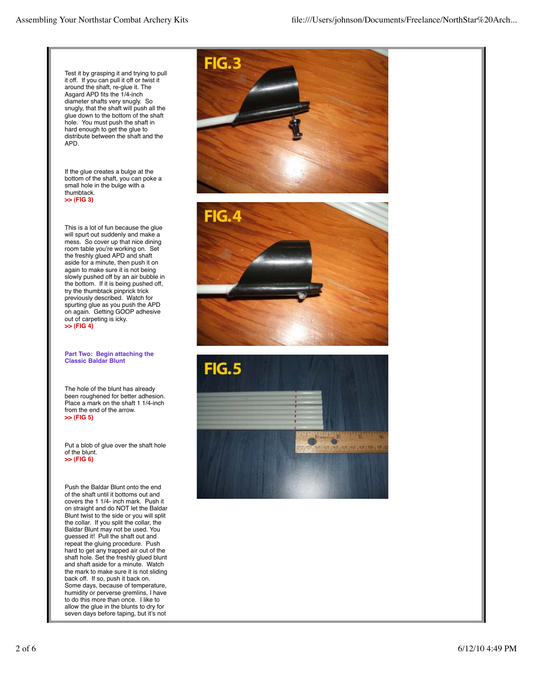Test it by grasping it and trying to pull it off. If you can pull it off or twist it around the shaft, re-glue it. The Asgard APD fits the 1/4-inch diameter shafts very snugly. So snugly, that the shaft will push all the glue down to the bottom of the shaft hole. You must push the shaft in hard enough to get the glue to distribute between the shaft and the APD.

If the glue creates a bulge at the bottom of the shaft, you can poke a small hole in the bulge with a thumbtack. **>> (FIG 3)**

This is a lot of fun because the glue will spurt out suddenly and make a mess. So cover up that nice dining room table you're working on. Set the freshly glued APD and shaft aside for a minute, then push it on again to make sure it is not being slowly pushed off by an air bubble in the bottom. If it is being pushed off, try the thumbtack pinprick trick previously described. Watch for spurting glue as you push the APD on again. Getting GOOP adhesive out of carpeting is icky. **>> (FIG 4)**

#### **Part Two: Begin attaching the Classic Baldar Blunt**

The hole of the blunt has already been roughened for better adhesion. Place a mark on the shaft 1 1/4-inch from the end of the arrow. **>> (FIG 5)**

Put a blob of glue over the shaft hole of the blunt. **>> (FIG 6)**

Push the Baldar Blunt onto the end of the shaft until it bottoms out and covers the 1 1/4- inch mark. Push it on straight and do NOT let the Baldar Blunt twist to the side or you will split the collar. If you split the collar, the Baldar Blunt may not be used. You guessed it! Pull the shaft out and repeat the gluing procedure. Push hard to get any trapped air out of the shaft hole. Set the freshly glued blunt and shaft aside for a minute. Watch the mark to make sure it is not sliding back off. If so, push it back on. Some days, because of temperature, humidity or perverse gremlins, I have to do this more than once. I like to allow the glue in the blunts to dry for seven days before taping, but it's not





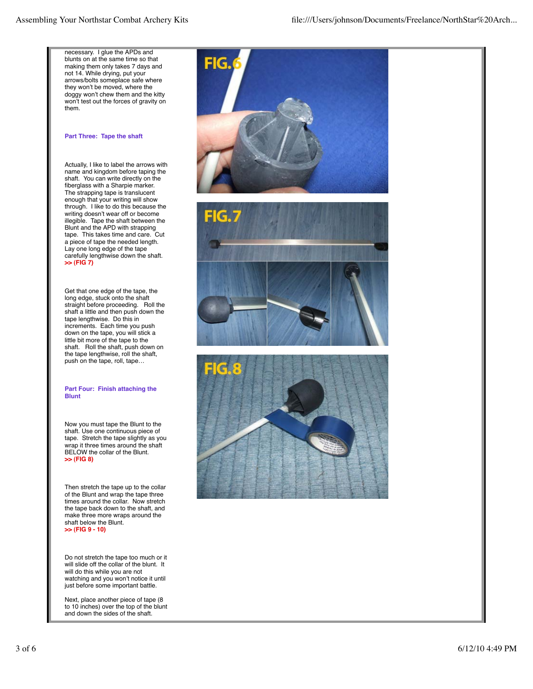necessary. I glue the APDs and blunts on at the same time so that making them only takes 7 days and not 14. While drying, put your arrows/bolts someplace safe where they won't be moved, where the doggy won't chew them and the kitty won't test out the forces of gravity on them.

### **Part Three: Tape the shaft**

Actually, I like to label the arrows with name and kingdom before taping the shaft. You can write directly on the fiberglass with a Sharpie marker. The strapping tape is translucent enough that your writing will show through. I like to do this because the writing doesn't wear off or become illegible. Tape the shaft between the Blunt and the APD with strapping tape. This takes time and care. Cut a piece of tape the needed length. Lay one long edge of the tape carefully lengthwise down the shaft. **>> (FIG 7)**

Get that one edge of the tape, the long edge, stuck onto the shaft straight before proceeding. Roll the shaft a little and then push down the tape lengthwise. Do this in increments. Each time you push down on the tape, you will stick a little bit more of the tape to the shaft. Roll the shaft, push down on the tape lengthwise, roll the shaft, push on the tape, roll, tape…

## **Part Four: Finish attaching the Blunt**

Now you must tape the Blunt to the shaft. Use one continuous piece of tape. Stretch the tape slightly as you wrap it three times around the shaft BELOW the collar of the Blunt. **>> (FIG 8)**

Then stretch the tape up to the collar of the Blunt and wrap the tape three times around the collar. Now stretch the tape back down to the shaft, and make three more wraps around the shaft below the Blunt. **>> (FIG 9 - 10)**

Do not stretch the tape too much or it will slide off the collar of the blunt. It will do this while you are not watching and you won't notice it until just before some important battle.

Next, place another piece of tape (8 to 10 inches) over the top of the blunt and down the sides of the shaft.





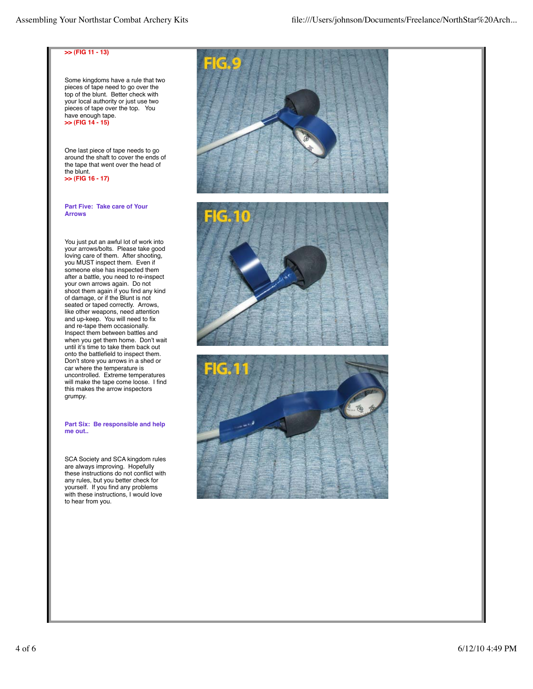#### **>> (FIG 11 - 13)**

Some kingdoms have a rule that two pieces of tape need to go over the top of the blunt. Better check with your local authority or just use two pieces of tape over the top. You have enough tape. **>> (FIG 14 - 15)**

One last piece of tape needs to go around the shaft to cover the ends of the tape that went over the head of the blunt. **>> (FIG 16 - 17)**

### **Part Five: Take care of Your Arrows**

You just put an awful lot of work into your arrows/bolts. Please take good loving care of them. After shooting, you MUST inspect them. Even if someone else has inspected them after a battle, you need to re-inspect your own arrows again. Do not shoot them again if you find any kind of damage, or if the Blunt is not seated or taped correctly. Arrows, like other weapons, need attention and up-keep. You will need to fix and re-tape them occasionally. Inspect them between battles and when you get them home. Don't wait until it's time to take them back out onto the battlefield to inspect them. Don't store you arrows in a shed or car where the temperature is uncontrolled. Extreme temperatures will make the tape come loose. I find this makes the arrow inspectors grumpy.

#### **Part Six: Be responsible and help me out..**

SCA Society and SCA kingdom rules are always improving. Hopefully these instructions do not conflict with any rules, but you better check for yourself. If you find any problems with these instructions, I would love to hear from you.





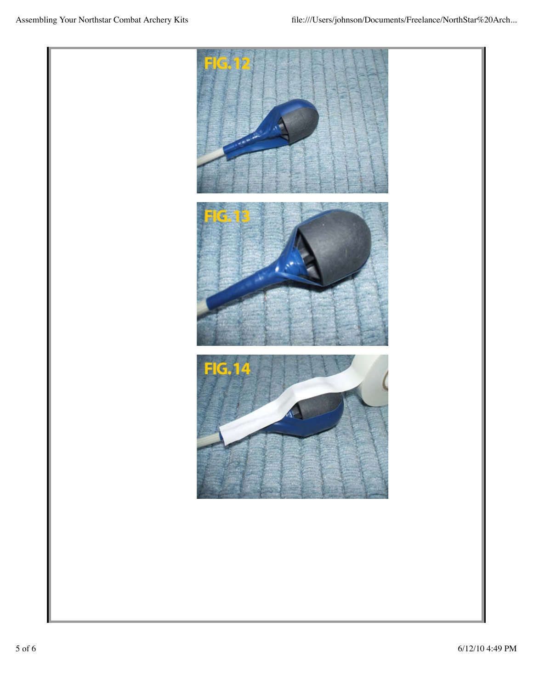